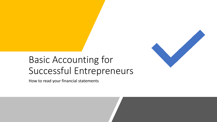

# Basic Accounting for Successful Entrepreneurs

How to read your financial statements

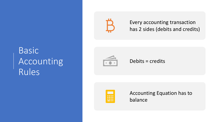# Basic Accounting Rules



Every accounting transaction has 2 sides (debits and credits)

Debits = credits



Accounting Equation has to balance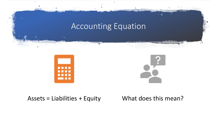

Assets = Liabilities + Equity What does this mean?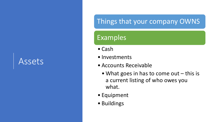# Assets

### Things that your company OWNS

### Examples

- Cash
- Investments
- Accounts Receivable
	- What goes in has to come out this is a current listing of who owes you what.
- Equipment
- Buildings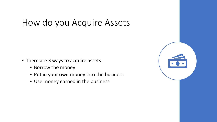# How do you Acquire Assets

- There are 3 ways to acquire assets:
	- Borrow the money
	- Put in your own money into the business
	- Use money earned in the business

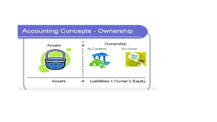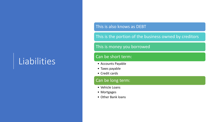# Liabilities

#### This is also knows as DEBT

This is the portion of the business owned by creditors

#### This is money you borrowed

#### Can be short term:

- Accounts Payable
- Taxes payable
- Credit cards

#### Can be long term:

- Vehicle Loans
- Mortgages
- Other Bank loans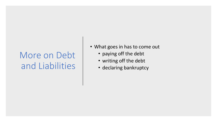# More on Debt and Liabilities

- What goes in has to come out
	- paying off the debt
	- writing off the debt
	- declaring bankruptcy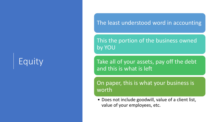# Equity

### The least understood word in accounting

This the portion of the business owned by YOU

Take all of your assets, pay off the debt and this is what is left

On paper, this is what your business is worth

• Does not include goodwill, value of a client list, value of your employees, etc.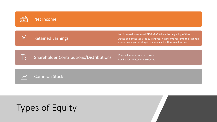



#### Retained Earnings

Net income/losses from PRIOR YEARS since the beginning of time At the end of the year, the current year net income rolls into the retained earnings and you start again on January 1 with zero net income.

| m  |
|----|
|    |
|    |
|    |
|    |
| 41 |
|    |

Shareholder Contributions/Distributions Personal money from the owner

Can be contributed or distributed





# Types of Equity

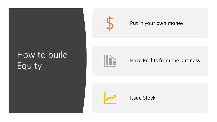# How to build Equity



#### Put in your own money



#### Have Profits from the business



Issue Stock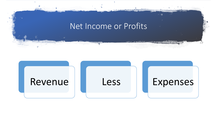### Net Income or Profits

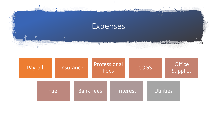

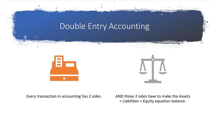

Every transaction in accounting has 2 sides. AND those 2 sides have to make the Assets = Liabilities + Equity equation balance.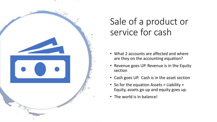

# Sale of a product or service for cash

- What 2 accounts are affected and where are they on the accounting equation?
- Revenue goes UP. Revenue is in the Equity section
- Cash goes UP. Cash is in the asset section
- So for the equation Assets = Liability + Equity, assets go up and equity goes up.
- The world is in balance!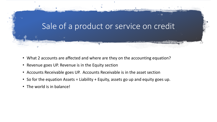

- What 2 accounts are affected and where are they on the accounting equation?
- Revenue goes UP. Revenue is in the Equity section
- Accounts Receivable goes UP. Accounts Receivable is in the asset section
- So for the equation Assets = Liability + Equity, assets go up and equity goes up.
- The world is in balance!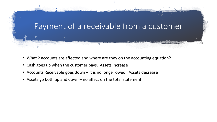

- What 2 accounts are affected and where are they on the accounting equation?
- Cash goes up when the customer pays. Assets increase
- Accounts Receivable goes down it is no longer owed. Assets decrease
- Assets go both up and down no affect on the total statement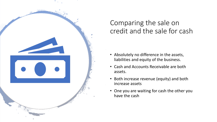

### Comparing the sale on credit and the sale for cash

- Absolutely no difference in the assets, liabilities and equity of the business.
- Cash and Accounts Receivable are both assets.
- Both increase revenue (equity) and both increase assets
- One you are waiting for cash the other you have the cash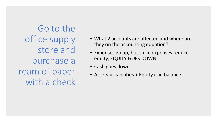Go to the office supply store and purchase a ream of paper with a check

- What 2 accounts are affected and where are they on the accounting equation?
- Expenses go up, but since expenses reduce equity, EQUITY GOES DOWN
- Cash goes down
- Assets = Liabilities + Equity is in balance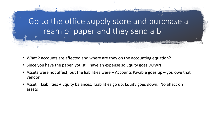Go to the office supply store and purchase a ream of paper and they send a bill

- What 2 accounts are affected and where are they on the accounting equation?
- Since you have the paper, you still have an expense so Equity goes DOWN
- Assets were not affect, but the liabilities were Accounts Payable goes up you owe that vendor
- Asset = Liabilities + Equity balances. Liabilities go up, Equity goes down. No affect on assets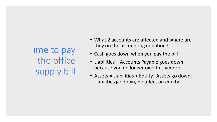Time to pay the office supply bill

- What 2 accounts are affected and where are they on the accounting equation?
- Cash goes down when you pay the bill
- Liabilities Accounts Payable goes down because you no longer owe this vendor.
- Assets = Liabilities + Equity. Assets go down, Liabilities go down, no affect on equity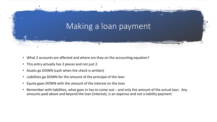

- What 2 accounts are affected and where are they on the accounting equation?
- This entry actually has 3 pieces and not just 2.
- Assets go DOWN (cash when the check is written)
- Liabilities go DOWN for the amount of the principal of the loan
- Equity goes DOWN with the amount of the interest on the loan
- Remember with liabilities, what goes in has to come out and only the amount of the actual loan. Any amounts paid above and beyond the loan (interest), is an expense and not a liability payment.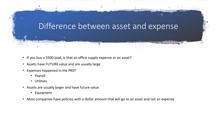### Difference between asset and expense

- If you buy a \$500 Ipad, is that an office supply expense or an asset?
- Assets have FUTURE value and are usually large
- Expenses happened in the PAST
	- Payroll
	- Utilities
- Assets are usually larger and have future value
	- Equipment
- Most companies have policies with a dollar amount that will go to an asset and not an expense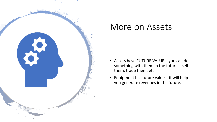

## More on Assets

- Assets have FUTURE VALUE you can do something with them in the future – sell them, trade them, etc.
- Equipment has future value it will help you generate revenues in the future.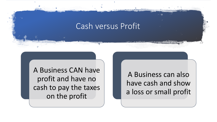### Cash versus Profit

A Business CAN have profit and have no cash to pay the taxes on the profit

A Business can also have cash and show a loss or small profit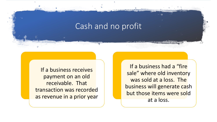### Cash and no profit

If a business receives payment on an old receivable. That transaction was recorded as revenue in a prior year

If a business had a "fire sale" where old inventory was sold at a loss. The business will generate cash but those items were sold at a loss.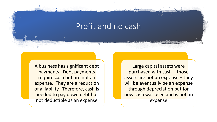### Profit and no cash

A business has significant debt payments. Debt payments require cash but are not an expense. They are a reduction of a liability. Therefore, cash is needed to pay down debt but not deductible as an expense

Large capital assets were purchased with cash – those assets are not an expense – they will be eventually be an expense through depreciation but for now cash was used and is not an expense